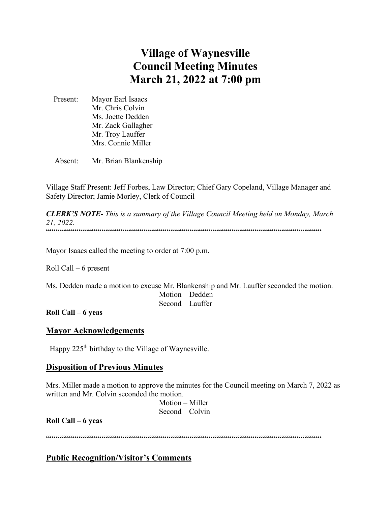# **Village of Waynesville Council Meeting Minutes March 21, 2022 at 7:00 pm**

 Present: Mayor Earl Isaacs Mr. Chris Colvin Ms. Joette Dedden Mr. Zack Gallagher Mr. Troy Lauffer Mrs. Connie Miller

Absent: Mr. Brian Blankenship

Village Staff Present: Jeff Forbes, Law Director; Chief Gary Copeland, Village Manager and Safety Director; Jamie Morley, Clerk of Council

*CLERK'S NOTE- This is a summary of the Village Council Meeting held on Monday, March 21, 2022.*  """"""""""""""""""""""""""""""""""""""""""""""""""""""""""""""""""""""""

Mayor Isaacs called the meeting to order at 7:00 p.m.

Roll Call – 6 present

Ms. Dedden made a motion to excuse Mr. Blankenship and Mr. Lauffer seconded the motion. Motion – Dedden Second – Lauffer

#### **Roll Call – 6 yeas**

#### **Mayor Acknowledgements**

Happy 225<sup>th</sup> birthday to the Village of Waynesville.

#### **Disposition of Previous Minutes**

Mrs. Miller made a motion to approve the minutes for the Council meeting on March 7, 2022 as written and Mr. Colvin seconded the motion.

 Motion – Miller Second – Colvin

**Roll Call – 6 yeas**

""""""""""""""""""""""""""""""""""""""""""""""""""""""""""""""""""""""""

# **Public Recognition/Visitor's Comments**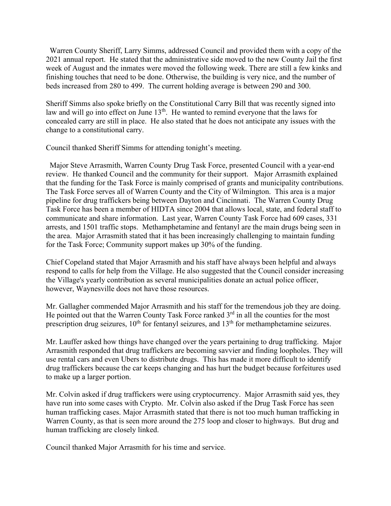Warren County Sheriff, Larry Simms, addressed Council and provided them with a copy of the 2021 annual report. He stated that the administrative side moved to the new County Jail the first week of August and the inmates were moved the following week. There are still a few kinks and finishing touches that need to be done. Otherwise, the building is very nice, and the number of beds increased from 280 to 499. The current holding average is between 290 and 300.

Sheriff Simms also spoke briefly on the Constitutional Carry Bill that was recently signed into law and will go into effect on June  $13<sup>th</sup>$ . He wanted to remind everyone that the laws for concealed carry are still in place. He also stated that he does not anticipate any issues with the change to a constitutional carry.

Council thanked Sheriff Simms for attending tonight's meeting.

 Major Steve Arrasmith, Warren County Drug Task Force, presented Council with a year-end review. He thanked Council and the community for their support. Major Arrasmith explained that the funding for the Task Force is mainly comprised of grants and municipality contributions. The Task Force serves all of Warren County and the City of Wilmington. This area is a major pipeline for drug traffickers being between Dayton and Cincinnati. The Warren County Drug Task Force has been a member of HIDTA since 2004 that allows local, state, and federal staff to communicate and share information. Last year, Warren County Task Force had 609 cases, 331 arrests, and 1501 traffic stops. Methamphetamine and fentanyl are the main drugs being seen in the area. Major Arrasmith stated that it has been increasingly challenging to maintain funding for the Task Force; Community support makes up 30% of the funding.

Chief Copeland stated that Major Arrasmith and his staff have always been helpful and always respond to calls for help from the Village. He also suggested that the Council consider increasing the Village's yearly contribution as several municipalities donate an actual police officer, however, Waynesville does not have those resources.

Mr. Gallagher commended Major Arrasmith and his staff for the tremendous job they are doing. He pointed out that the Warren County Task Force ranked 3<sup>rd</sup> in all the counties for the most prescription drug seizures,  $10^{th}$  for fentanyl seizures, and  $13^{th}$  for methamphetamine seizures.

Mr. Lauffer asked how things have changed over the years pertaining to drug trafficking. Major Arrasmith responded that drug traffickers are becoming savvier and finding loopholes. They will use rental cars and even Ubers to distribute drugs. This has made it more difficult to identify drug traffickers because the car keeps changing and has hurt the budget because forfeitures used to make up a larger portion.

Mr. Colvin asked if drug traffickers were using cryptocurrency. Major Arrasmith said yes, they have run into some cases with Crypto. Mr. Colvin also asked if the Drug Task Force has seen human trafficking cases. Major Arrasmith stated that there is not too much human trafficking in Warren County, as that is seen more around the 275 loop and closer to highways. But drug and human trafficking are closely linked.

Council thanked Major Arrasmith for his time and service.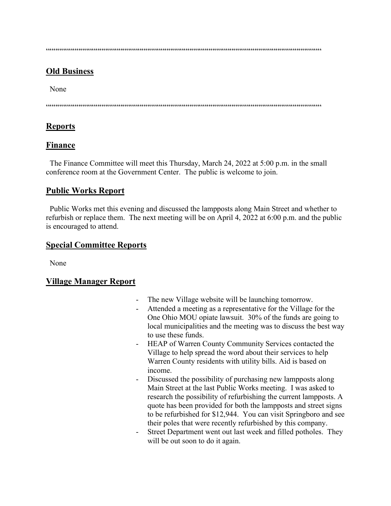$\label{prop:main} \hspace{1.5cm} \hspace{1.5cm} \hspace{1.5cm} \hspace{1.5cm} \hspace{1.5cm} \hspace{1.5cm} \hspace{1.5cm} \hspace{1.5cm} \hspace{1.5cm} \hspace{1.5cm} \hspace{1.5cm} \hspace{1.5cm} \hspace{1.5cm} \hspace{1.5cm} \hspace{1.5cm} \hspace{1.5cm} \hspace{1.5cm} \hspace{1.5cm} \hspace{1.5cm} \hspace{1.5cm} \hspace{1.5cm} \hspace{1.5cm} \hspace{1.5cm} \hspace{1.$ 

# **Old Business**

None

 $\hspace{1.5em} {\color{blue}{{\color{blue}{{\color{blue}{{\color{blue}{{\color{blue}{{\color{blue}{{\color{blue}{{\color{blue}{{\color{blue}{{\color{blue}{{\color{blue}{{\color{blue}{{\color{blue}{{\color{blue}{{\color{blue}{{\color{blue}{{\color{blue}{{\color{blue}{{\color{blue}{{\color{blue}{{\color{blue}{{\color{blue}{{\color{blue}{{\color{blue}{{\color{blue}{{\color{blue}{{\color{blue}{{\color{blue}{{\color{blue}{{\color{blue}{{\color{blue}{{\color{blue}{{\color{blue}{{\color{blue}{{\color{blue}{{\$ 

# **Reports**

# **Finance**

 The Finance Committee will meet this Thursday, March 24, 2022 at 5:00 p.m. in the small conference room at the Government Center. The public is welcome to join.

# **Public Works Report**

 Public Works met this evening and discussed the lampposts along Main Street and whether to refurbish or replace them. The next meeting will be on April 4, 2022 at 6:00 p.m. and the public is encouraged to attend.

### **Special Committee Reports**

None

# **Village Manager Report**

- The new Village website will be launching tomorrow.
- Attended a meeting as a representative for the Village for the One Ohio MOU opiate lawsuit. 30% of the funds are going to local municipalities and the meeting was to discuss the best way to use these funds.
- HEAP of Warren County Community Services contacted the Village to help spread the word about their services to help Warren County residents with utility bills. Aid is based on income.
- Discussed the possibility of purchasing new lampposts along Main Street at the last Public Works meeting. I was asked to research the possibility of refurbishing the current lampposts. A quote has been provided for both the lampposts and street signs to be refurbished for \$12,944. You can visit Springboro and see their poles that were recently refurbished by this company.
- Street Department went out last week and filled potholes. They will be out soon to do it again.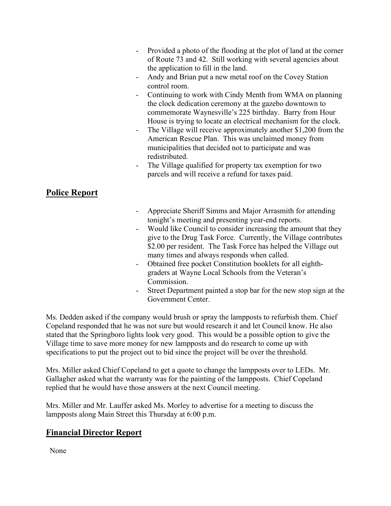|                      | Provided a photo of the flooding at the plot of land at the corner<br>of Route 73 and 42. Still working with several agencies about<br>the application to fill in the land.<br>Andy and Brian put a new metal roof on the Covey Station<br>-<br>control room.<br>Continuing to work with Cindy Menth from WMA on planning<br>Ξ.<br>the clock dedication ceremony at the gazebo downtown to<br>commemorate Waynesville's 225 birthday. Barry from Hour<br>House is trying to locate an electrical mechanism for the clock.<br>The Village will receive approximately another \$1,200 from the<br>$\overline{\phantom{0}}$<br>American Rescue Plan. This was unclaimed money from<br>municipalities that decided not to participate and was<br>redistributed.<br>The Village qualified for property tax exemption for two<br>-<br>parcels and will receive a refund for taxes paid. |
|----------------------|-----------------------------------------------------------------------------------------------------------------------------------------------------------------------------------------------------------------------------------------------------------------------------------------------------------------------------------------------------------------------------------------------------------------------------------------------------------------------------------------------------------------------------------------------------------------------------------------------------------------------------------------------------------------------------------------------------------------------------------------------------------------------------------------------------------------------------------------------------------------------------------|
| <b>Police Report</b> |                                                                                                                                                                                                                                                                                                                                                                                                                                                                                                                                                                                                                                                                                                                                                                                                                                                                                   |

- Appreciate Sheriff Simms and Major Arrasmith for attending tonight's meeting and presenting year-end reports.
- Would like Council to consider increasing the amount that they give to the Drug Task Force. Currently, the Village contributes \$2.00 per resident. The Task Force has helped the Village out many times and always responds when called.
- Obtained free pocket Constitution booklets for all eighthgraders at Wayne Local Schools from the Veteran's Commission.
- Street Department painted a stop bar for the new stop sign at the Government Center.

Ms. Dedden asked if the company would brush or spray the lampposts to refurbish them. Chief Copeland responded that he was not sure but would research it and let Council know. He also stated that the Springboro lights look very good. This would be a possible option to give the Village time to save more money for new lampposts and do research to come up with specifications to put the project out to bid since the project will be over the threshold.

Mrs. Miller asked Chief Copeland to get a quote to change the lampposts over to LEDs. Mr. Gallagher asked what the warranty was for the painting of the lampposts. Chief Copeland replied that he would have those answers at the next Council meeting.

Mrs. Miller and Mr. Lauffer asked Ms. Morley to advertise for a meeting to discuss the lampposts along Main Street this Thursday at 6:00 p.m.

# **Financial Director Report**

None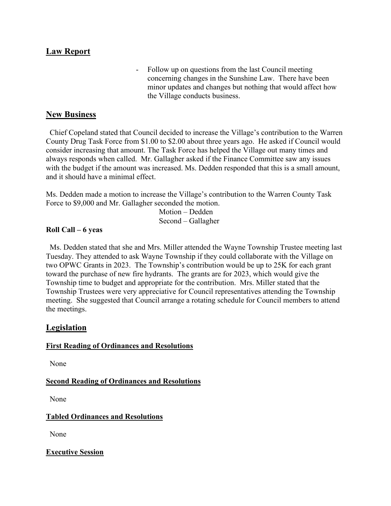## **Law Report**

Follow up on questions from the last Council meeting concerning changes in the Sunshine Law. There have been minor updates and changes but nothing that would affect how the Village conducts business.

#### **New Business**

 Chief Copeland stated that Council decided to increase the Village's contribution to the Warren County Drug Task Force from \$1.00 to \$2.00 about three years ago. He asked if Council would consider increasing that amount. The Task Force has helped the Village out many times and always responds when called. Mr. Gallagher asked if the Finance Committee saw any issues with the budget if the amount was increased. Ms. Dedden responded that this is a small amount, and it should have a minimal effect.

Ms. Dedden made a motion to increase the Village's contribution to the Warren County Task Force to \$9,000 and Mr. Gallagher seconded the motion.

> Motion – Dedden Second – Gallagher

#### **Roll Call – 6 yeas**

 Ms. Dedden stated that she and Mrs. Miller attended the Wayne Township Trustee meeting last Tuesday. They attended to ask Wayne Township if they could collaborate with the Village on two OPWC Grants in 2023. The Township's contribution would be up to 25K for each grant toward the purchase of new fire hydrants. The grants are for 2023, which would give the Township time to budget and appropriate for the contribution. Mrs. Miller stated that the Township Trustees were very appreciative for Council representatives attending the Township meeting. She suggested that Council arrange a rotating schedule for Council members to attend the meetings.

#### **Legislation**

#### **First Reading of Ordinances and Resolutions**

None

#### **Second Reading of Ordinances and Resolutions**

None

#### **Tabled Ordinances and Resolutions**

None

**Executive Session**